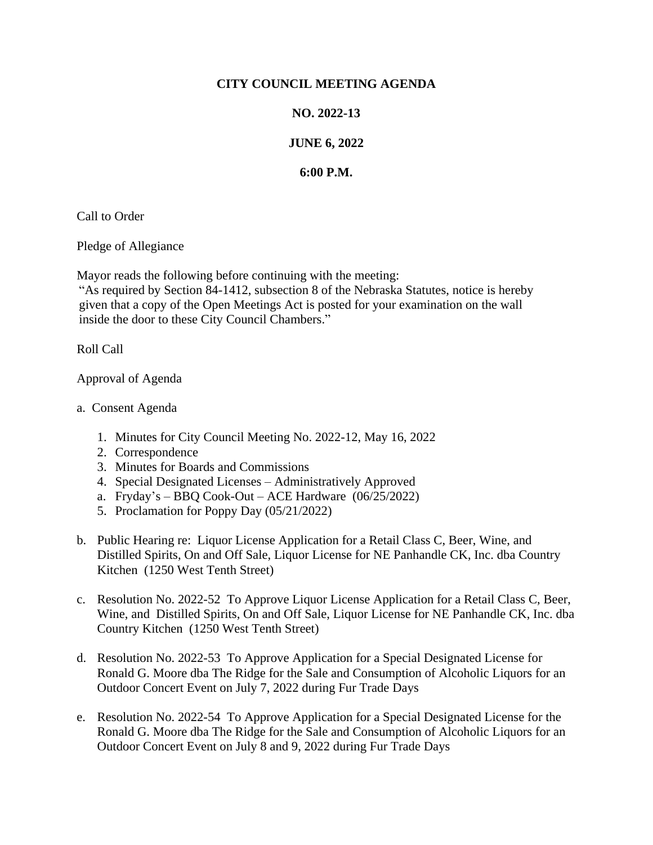## **CITY COUNCIL MEETING AGENDA**

## **NO. 2022-13**

## **JUNE 6, 2022**

## **6:00 P.M.**

Call to Order

Pledge of Allegiance

Mayor reads the following before continuing with the meeting:

"As required by Section 84-1412, subsection 8 of the Nebraska Statutes, notice is hereby given that a copy of the Open Meetings Act is posted for your examination on the wall inside the door to these City Council Chambers."

Roll Call

Approval of Agenda

- a. Consent Agenda
	- 1. Minutes for City Council Meeting No. 2022-12, May 16, 2022
	- 2. Correspondence
	- 3. Minutes for Boards and Commissions
	- 4. Special Designated Licenses Administratively Approved
	- a. Fryday's BBQ Cook-Out ACE Hardware (06/25/2022)
	- 5. Proclamation for Poppy Day (05/21/2022)
- b. Public Hearing re: Liquor License Application for a Retail Class C, Beer, Wine, and Distilled Spirits, On and Off Sale, Liquor License for NE Panhandle CK, Inc. dba Country Kitchen (1250 West Tenth Street)
- c. Resolution No. 2022-52 To Approve Liquor License Application for a Retail Class C, Beer, Wine, and Distilled Spirits, On and Off Sale, Liquor License for NE Panhandle CK, Inc. dba Country Kitchen (1250 West Tenth Street)
- d. Resolution No. 2022-53 To Approve Application for a Special Designated License for Ronald G. Moore dba The Ridge for the Sale and Consumption of Alcoholic Liquors for an Outdoor Concert Event on July 7, 2022 during Fur Trade Days
- e. Resolution No. 2022-54 To Approve Application for a Special Designated License for the Ronald G. Moore dba The Ridge for the Sale and Consumption of Alcoholic Liquors for an Outdoor Concert Event on July 8 and 9, 2022 during Fur Trade Days